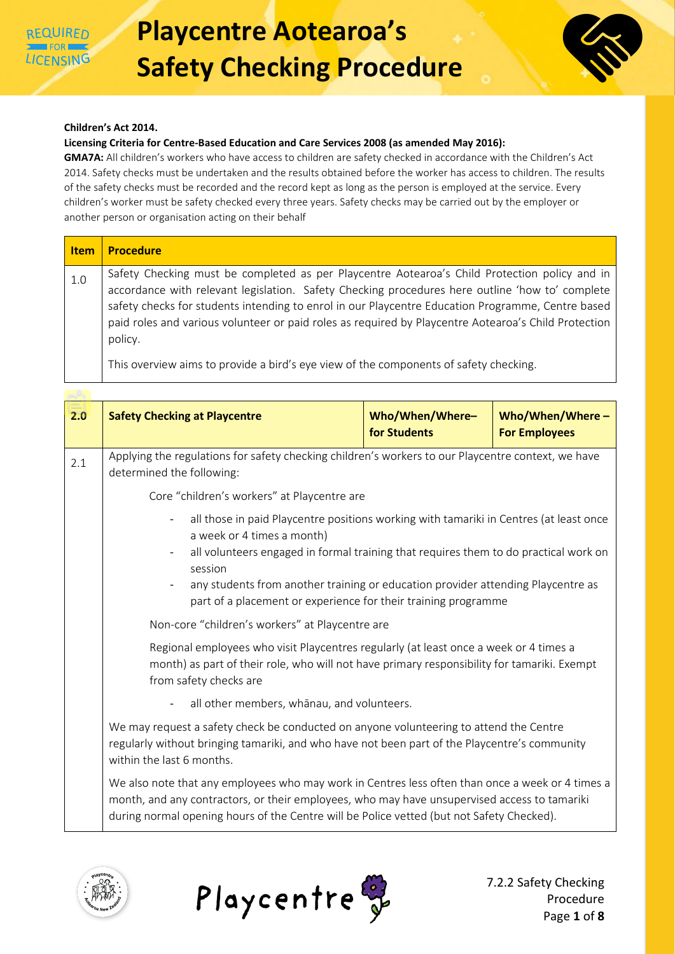



### **Children's Act 2014.**

#### **Licensing Criteria for Centre-Based Education and Care Services 2008 (as amended May 2016):**

**GMA7A:** All children's workers who have access to children are safety checked in accordance with the Children's Act 2014. Safety checks must be undertaken and the results obtained before the worker has access to children. The results of the safety checks must be recorded and the record kept as long as the person is employed at the service. Every children's worker must be safety checked every three years. Safety checks may be carried out by the employer or another person or organisation acting on their behalf

| <b>Item</b> | <b>Procedure</b>                                                                                     |
|-------------|------------------------------------------------------------------------------------------------------|
| 1.0         | Safety Checking must be completed as per Playcentre Aotearoa's Child Protection policy and in        |
|             | accordance with relevant legislation. Safety Checking procedures here outline 'how to' complete      |
|             | safety checks for students intending to enrol in our Playcentre Education Programme, Centre based    |
|             | paid roles and various volunteer or paid roles as required by Playcentre Aotearoa's Child Protection |
|             | policy.                                                                                              |
|             | This overview aims to provide a bird's eye view of the components of safety checking.                |

| 2.0 | <b>Safety Checking at Playcentre</b>                                                                                                                                                                                                                                                                                                                                                                                                  | Who/When/Where-<br>for Students | Who/When/Where $-$<br><b>For Employees</b> |
|-----|---------------------------------------------------------------------------------------------------------------------------------------------------------------------------------------------------------------------------------------------------------------------------------------------------------------------------------------------------------------------------------------------------------------------------------------|---------------------------------|--------------------------------------------|
| 2.1 | Applying the regulations for safety checking children's workers to our Playcentre context, we have<br>determined the following:                                                                                                                                                                                                                                                                                                       |                                 |                                            |
|     | Core "children's workers" at Playcentre are                                                                                                                                                                                                                                                                                                                                                                                           |                                 |                                            |
|     | all those in paid Playcentre positions working with tamariki in Centres (at least once<br>$\overline{\phantom{a}}$<br>a week or 4 times a month)<br>all volunteers engaged in formal training that requires them to do practical work on<br>$\overline{\phantom{a}}$<br>session<br>any students from another training or education provider attending Playcentre as<br>part of a placement or experience for their training programme |                                 |                                            |
|     | Non-core "children's workers" at Playcentre are                                                                                                                                                                                                                                                                                                                                                                                       |                                 |                                            |
|     | Regional employees who visit Playcentres regularly (at least once a week or 4 times a<br>month) as part of their role, who will not have primary responsibility for tamariki. Exempt<br>from safety checks are                                                                                                                                                                                                                        |                                 |                                            |
|     | all other members, whanau, and volunteers.                                                                                                                                                                                                                                                                                                                                                                                            |                                 |                                            |
|     | We may request a safety check be conducted on anyone volunteering to attend the Centre<br>regularly without bringing tamariki, and who have not been part of the Playcentre's community<br>within the last 6 months.                                                                                                                                                                                                                  |                                 |                                            |
|     | We also note that any employees who may work in Centres less often than once a week or 4 times a<br>month, and any contractors, or their employees, who may have unsupervised access to tamariki<br>during normal opening hours of the Centre will be Police vetted (but not Safety Checked).                                                                                                                                         |                                 |                                            |





7.2.2 Safety Checking Procedure Page **1** of **8**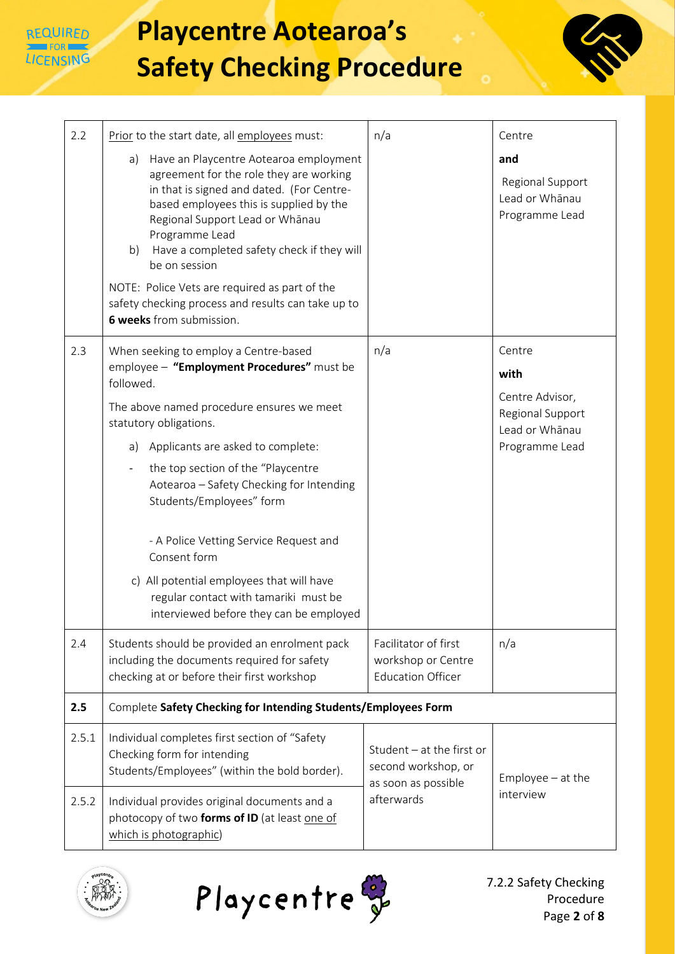



| 2.2   | Prior to the start date, all employees must:                                                                                                                                                                                                                                                                                                                                                                                                        | n/a                                                                                                | Centre                                                      |
|-------|-----------------------------------------------------------------------------------------------------------------------------------------------------------------------------------------------------------------------------------------------------------------------------------------------------------------------------------------------------------------------------------------------------------------------------------------------------|----------------------------------------------------------------------------------------------------|-------------------------------------------------------------|
|       | Have an Playcentre Aotearoa employment<br>a)<br>agreement for the role they are working<br>in that is signed and dated. (For Centre-<br>based employees this is supplied by the<br>Regional Support Lead or Whānau<br>Programme Lead<br>Have a completed safety check if they will<br>b)<br>be on session<br>NOTE: Police Vets are required as part of the<br>safety checking process and results can take up to<br><b>6 weeks</b> from submission. |                                                                                                    | and<br>Regional Support<br>Lead or Whānau<br>Programme Lead |
| 2.3   | When seeking to employ a Centre-based                                                                                                                                                                                                                                                                                                                                                                                                               | n/a                                                                                                | Centre                                                      |
|       | employee - "Employment Procedures" must be<br>followed.                                                                                                                                                                                                                                                                                                                                                                                             |                                                                                                    | with                                                        |
|       | The above named procedure ensures we meet<br>statutory obligations.                                                                                                                                                                                                                                                                                                                                                                                 |                                                                                                    | Centre Advisor,<br>Regional Support<br>Lead or Whānau       |
|       | a) Applicants are asked to complete:                                                                                                                                                                                                                                                                                                                                                                                                                |                                                                                                    | Programme Lead                                              |
|       | the top section of the "Playcentre<br>Aotearoa - Safety Checking for Intending<br>Students/Employees" form                                                                                                                                                                                                                                                                                                                                          |                                                                                                    |                                                             |
|       | - A Police Vetting Service Request and<br>Consent form                                                                                                                                                                                                                                                                                                                                                                                              |                                                                                                    |                                                             |
|       | c) All potential employees that will have<br>regular contact with tamariki must be<br>interviewed before they can be employed                                                                                                                                                                                                                                                                                                                       |                                                                                                    |                                                             |
| 2.4   | Students should be provided an enrolment pack<br>including the documents required for safety<br>checking at or before their first workshop                                                                                                                                                                                                                                                                                                          | Facilitator of first<br>workshop or Centre<br><b>Education Officer</b>                             | n/a                                                         |
| 2.5   | Complete Safety Checking for Intending Students/Employees Form                                                                                                                                                                                                                                                                                                                                                                                      |                                                                                                    |                                                             |
| 2.5.1 | Individual completes first section of "Safety<br>Checking form for intending<br>Students/Employees" (within the bold border).                                                                                                                                                                                                                                                                                                                       | Student - at the first or<br>second workshop, or<br>as soon as possible<br>interview<br>afterwards | $Employee - at the$                                         |
| 2.5.2 | Individual provides original documents and a<br>photocopy of two forms of ID (at least one of<br>which is photographic)                                                                                                                                                                                                                                                                                                                             |                                                                                                    |                                                             |





7.2.2 Safety Checking Procedure Page **2** of **8**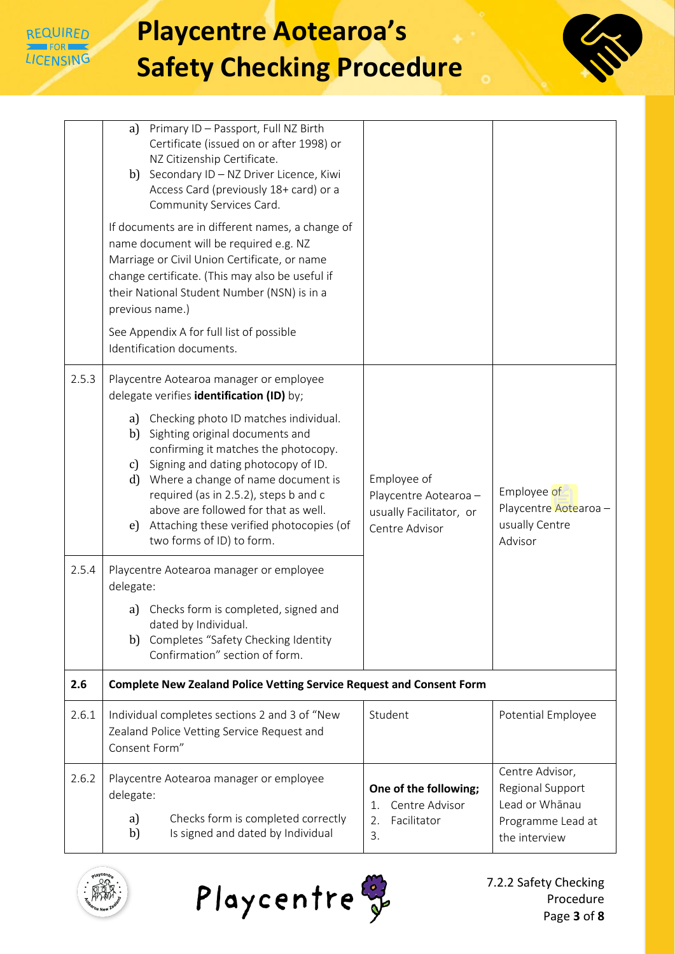



|       | Primary ID - Passport, Full NZ Birth<br>a)<br>Certificate (issued on or after 1998) or<br>NZ Citizenship Certificate.<br>b) Secondary ID - NZ Driver Licence, Kiwi<br>Access Card (previously 18+ card) or a<br>Community Services Card.<br>If documents are in different names, a change of<br>name document will be required e.g. NZ<br>Marriage or Civil Union Certificate, or name<br>change certificate. (This may also be useful if<br>their National Student Number (NSN) is in a<br>previous name.)<br>See Appendix A for full list of possible<br>Identification documents. |                                                                                   |                                                                                             |
|-------|--------------------------------------------------------------------------------------------------------------------------------------------------------------------------------------------------------------------------------------------------------------------------------------------------------------------------------------------------------------------------------------------------------------------------------------------------------------------------------------------------------------------------------------------------------------------------------------|-----------------------------------------------------------------------------------|---------------------------------------------------------------------------------------------|
| 2.5.3 | Playcentre Aotearoa manager or employee<br>delegate verifies identification (ID) by;                                                                                                                                                                                                                                                                                                                                                                                                                                                                                                 |                                                                                   |                                                                                             |
|       | a) Checking photo ID matches individual.<br>b) Sighting original documents and<br>confirming it matches the photocopy.<br>c) Signing and dating photocopy of ID.<br>d) Where a change of name document is<br>required (as in 2.5.2), steps b and c<br>above are followed for that as well.<br>e) Attaching these verified photocopies (of<br>two forms of ID) to form.                                                                                                                                                                                                               | Employee of<br>Playcentre Aotearoa -<br>usually Facilitator, or<br>Centre Advisor | Employee of<br>Playcentre Aotearoa -<br>usually Centre<br>Advisor                           |
| 2.5.4 | Playcentre Aotearoa manager or employee<br>delegate:                                                                                                                                                                                                                                                                                                                                                                                                                                                                                                                                 |                                                                                   |                                                                                             |
|       | Checks form is completed, signed and<br>a)<br>dated by Individual.<br>Completes "Safety Checking Identity<br>b)<br>Confirmation" section of form.                                                                                                                                                                                                                                                                                                                                                                                                                                    |                                                                                   |                                                                                             |
| 2.6   | <b>Complete New Zealand Police Vetting Service Request and Consent Form</b>                                                                                                                                                                                                                                                                                                                                                                                                                                                                                                          |                                                                                   |                                                                                             |
| 2.6.1 | Individual completes sections 2 and 3 of "New<br>Zealand Police Vetting Service Request and<br>Consent Form"                                                                                                                                                                                                                                                                                                                                                                                                                                                                         | Student                                                                           | Potential Employee                                                                          |
| 2.6.2 | Playcentre Aotearoa manager or employee<br>delegate:<br>Checks form is completed correctly<br>a)<br>Is signed and dated by Individual<br>b)                                                                                                                                                                                                                                                                                                                                                                                                                                          | One of the following;<br>Centre Advisor<br>1.<br>Facilitator<br>2.<br>3.          | Centre Advisor,<br>Regional Support<br>Lead or Whānau<br>Programme Lead at<br>the interview |





7.2.2 Safety Checking Procedure Page **3** of **8**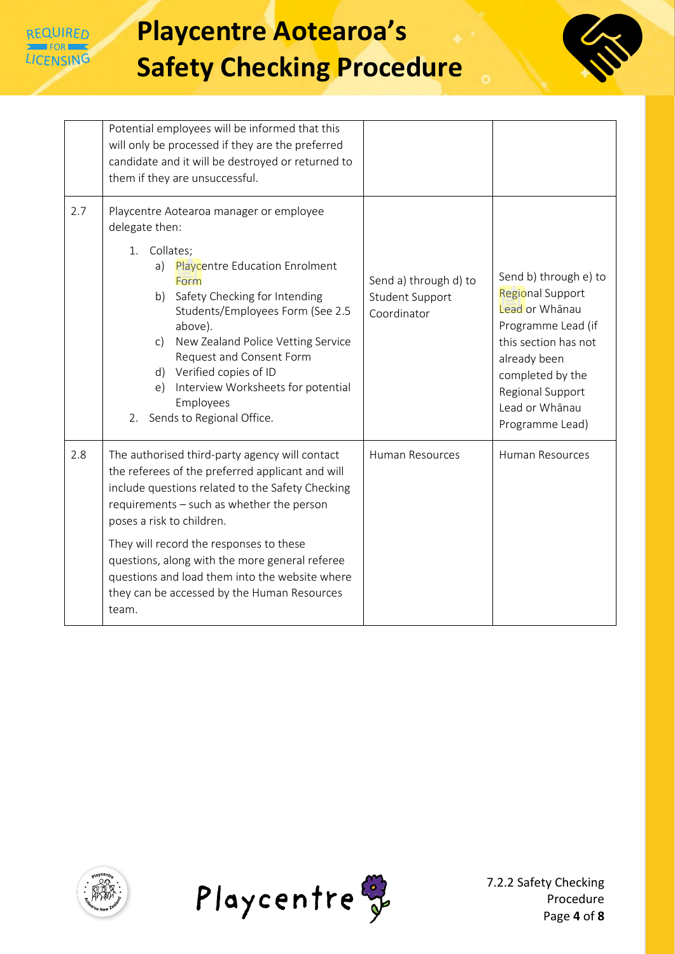



|     | Potential employees will be informed that this<br>will only be processed if they are the preferred<br>candidate and it will be destroyed or returned to<br>them if they are unsuccessful.                                                                                                                                                                                                                                               |                                                         |                                                                                                                                                                                                        |
|-----|-----------------------------------------------------------------------------------------------------------------------------------------------------------------------------------------------------------------------------------------------------------------------------------------------------------------------------------------------------------------------------------------------------------------------------------------|---------------------------------------------------------|--------------------------------------------------------------------------------------------------------------------------------------------------------------------------------------------------------|
| 2.7 | Playcentre Aotearoa manager or employee<br>delegate then:<br>1. Collates;<br>a) Playcentre Education Enrolment<br>Form<br>b) Safety Checking for Intending<br>Students/Employees Form (See 2.5<br>above).<br>New Zealand Police Vetting Service<br>$\mathsf{C}$<br>Request and Consent Form<br>d) Verified copies of ID<br>e) Interview Worksheets for potential<br>Employees<br>Sends to Regional Office.<br>2.                        | Send a) through d) to<br>Student Support<br>Coordinator | Send b) through e) to<br>Regional Support<br>Lead or Whānau<br>Programme Lead (if<br>this section has not<br>already been<br>completed by the<br>Regional Support<br>Lead or Whānau<br>Programme Lead) |
| 2.8 | The authorised third-party agency will contact<br>the referees of the preferred applicant and will<br>include questions related to the Safety Checking<br>requirements - such as whether the person<br>poses a risk to children.<br>They will record the responses to these<br>questions, along with the more general referee<br>questions and load them into the website where<br>they can be accessed by the Human Resources<br>team. | Human Resources                                         | Human Resources                                                                                                                                                                                        |



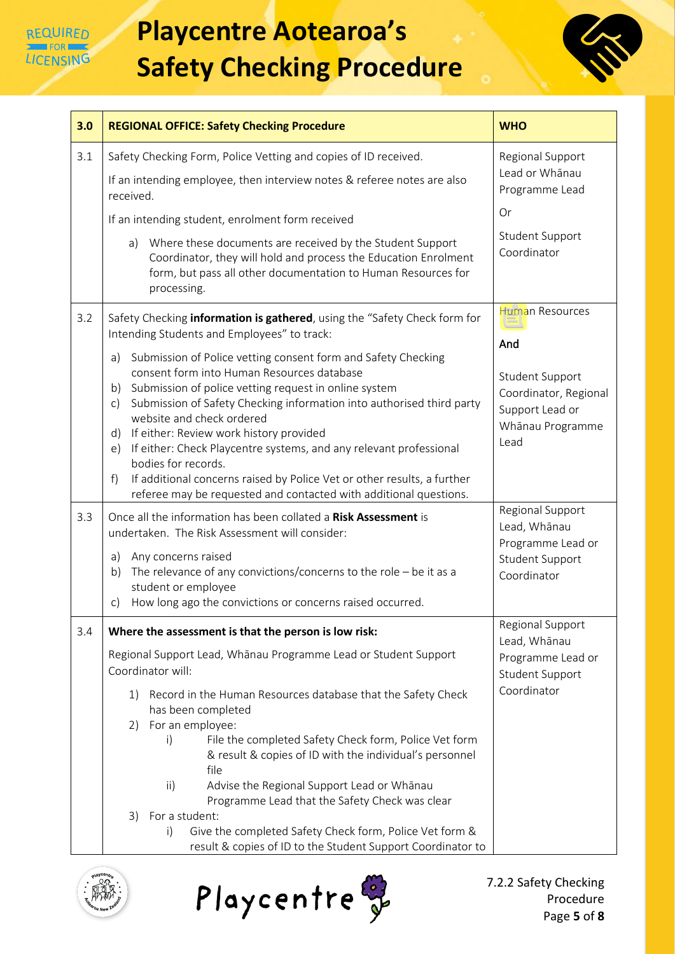### **REQUIRED** LICFNSING

# **Playcentre Aotearoa's Safety Checking Procedure**



| 3.0 | <b>REGIONAL OFFICE: Safety Checking Procedure</b>                                                                                                                                                                                                                                                                                                                                                                                                                                                                                                                                                                | <b>WHO</b>                                                                              |
|-----|------------------------------------------------------------------------------------------------------------------------------------------------------------------------------------------------------------------------------------------------------------------------------------------------------------------------------------------------------------------------------------------------------------------------------------------------------------------------------------------------------------------------------------------------------------------------------------------------------------------|-----------------------------------------------------------------------------------------|
| 3.1 | Safety Checking Form, Police Vetting and copies of ID received.<br>If an intending employee, then interview notes & referee notes are also<br>received.                                                                                                                                                                                                                                                                                                                                                                                                                                                          | Regional Support<br>Lead or Whānau<br>Programme Lead                                    |
|     | If an intending student, enrolment form received<br>a) Where these documents are received by the Student Support                                                                                                                                                                                                                                                                                                                                                                                                                                                                                                 | <b>Or</b><br>Student Support                                                            |
|     | Coordinator, they will hold and process the Education Enrolment<br>form, but pass all other documentation to Human Resources for<br>processing.                                                                                                                                                                                                                                                                                                                                                                                                                                                                  | Coordinator                                                                             |
| 3.2 | Safety Checking <i>information is gathered</i> , using the "Safety Check form for<br>Intending Students and Employees" to track:                                                                                                                                                                                                                                                                                                                                                                                                                                                                                 | <b>Human Resources</b><br>And                                                           |
|     | Submission of Police vetting consent form and Safety Checking<br>a)<br>consent form into Human Resources database<br>Submission of police vetting request in online system<br>b)<br>Submission of Safety Checking information into authorised third party<br>$\mathsf{C}$<br>website and check ordered<br>If either: Review work history provided<br>d)<br>If either: Check Playcentre systems, and any relevant professional<br>e)<br>bodies for records.<br>f)<br>If additional concerns raised by Police Vet or other results, a further<br>referee may be requested and contacted with additional questions. | Student Support<br>Coordinator, Regional<br>Support Lead or<br>Whānau Programme<br>Lead |
| 3.3 | Once all the information has been collated a Risk Assessment is<br>undertaken. The Risk Assessment will consider:                                                                                                                                                                                                                                                                                                                                                                                                                                                                                                | Regional Support<br>Lead, Whānau                                                        |
|     | Any concerns raised<br>a)<br>The relevance of any convictions/concerns to the role $-$ be it as a<br>b)<br>student or employee<br>How long ago the convictions or concerns raised occurred.<br>$\mathsf{C}$                                                                                                                                                                                                                                                                                                                                                                                                      | Programme Lead or<br><b>Student Support</b><br>Coordinator                              |
| 3.4 | Where the assessment is that the person is low risk:                                                                                                                                                                                                                                                                                                                                                                                                                                                                                                                                                             | Regional Support                                                                        |
|     | Regional Support Lead, Whānau Programme Lead or Student Support<br>Coordinator will:                                                                                                                                                                                                                                                                                                                                                                                                                                                                                                                             | Lead, Whānau<br>Programme Lead or<br>Student Support                                    |
|     | Record in the Human Resources database that the Safety Check<br>1)<br>has been completed<br>For an employee:<br>2)<br>File the completed Safety Check form, Police Vet form<br>i)<br>& result & copies of ID with the individual's personnel<br>file                                                                                                                                                                                                                                                                                                                                                             | Coordinator                                                                             |
|     | Advise the Regional Support Lead or Whānau<br>ii)<br>Programme Lead that the Safety Check was clear                                                                                                                                                                                                                                                                                                                                                                                                                                                                                                              |                                                                                         |
|     | 3) For a student:<br>Give the completed Safety Check form, Police Vet form &<br>i)<br>result & copies of ID to the Student Support Coordinator to                                                                                                                                                                                                                                                                                                                                                                                                                                                                |                                                                                         |





7.2.2 Safety Checking Procedure Page **5** of **8**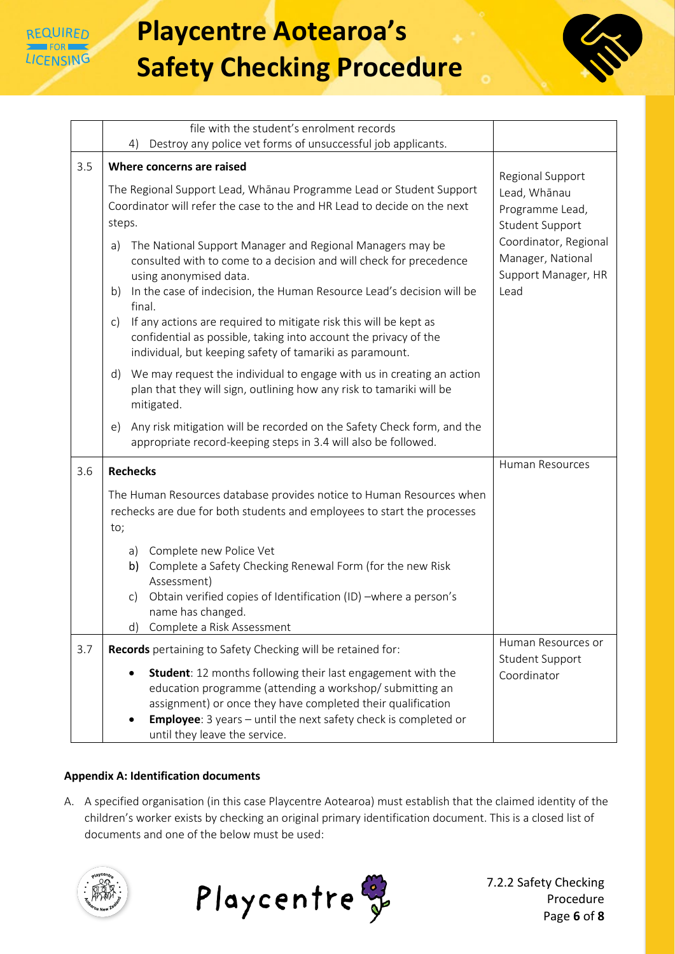



|     | file with the student's enrolment records                                                                                                   |                                          |
|-----|---------------------------------------------------------------------------------------------------------------------------------------------|------------------------------------------|
|     | Destroy any police vet forms of unsuccessful job applicants.<br>4)                                                                          |                                          |
| 3.5 | Where concerns are raised                                                                                                                   | Regional Support                         |
|     | The Regional Support Lead, Whānau Programme Lead or Student Support                                                                         | Lead, Whānau                             |
|     | Coordinator will refer the case to the and HR Lead to decide on the next<br>steps.                                                          | Programme Lead,                          |
|     |                                                                                                                                             | Student Support<br>Coordinator, Regional |
|     | The National Support Manager and Regional Managers may be<br>a)<br>consulted with to come to a decision and will check for precedence       | Manager, National                        |
|     | using anonymised data.                                                                                                                      | Support Manager, HR                      |
|     | In the case of indecision, the Human Resource Lead's decision will be<br>b)<br>final.                                                       | Lead                                     |
|     | If any actions are required to mitigate risk this will be kept as<br>c)<br>confidential as possible, taking into account the privacy of the |                                          |
|     | individual, but keeping safety of tamariki as paramount.                                                                                    |                                          |
|     | We may request the individual to engage with us in creating an action<br>d)                                                                 |                                          |
|     | plan that they will sign, outlining how any risk to tamariki will be<br>mitigated.                                                          |                                          |
|     | Any risk mitigation will be recorded on the Safety Check form, and the<br>e)                                                                |                                          |
|     | appropriate record-keeping steps in 3.4 will also be followed.                                                                              |                                          |
| 3.6 | <b>Rechecks</b>                                                                                                                             | Human Resources                          |
|     | The Human Resources database provides notice to Human Resources when                                                                        |                                          |
|     | rechecks are due for both students and employees to start the processes                                                                     |                                          |
|     | to;                                                                                                                                         |                                          |
|     | a) Complete new Police Vet                                                                                                                  |                                          |
|     | b) Complete a Safety Checking Renewal Form (for the new Risk<br>Assessment)                                                                 |                                          |
|     | Obtain verified copies of Identification (ID) -where a person's<br>c)                                                                       |                                          |
|     | name has changed.                                                                                                                           |                                          |
|     | d) Complete a Risk Assessment                                                                                                               |                                          |
| 3.7 | Records pertaining to Safety Checking will be retained for:                                                                                 | Human Resources or<br>Student Support    |
|     | Student: 12 months following their last engagement with the                                                                                 | Coordinator                              |
|     | education programme (attending a workshop/ submitting an<br>assignment) or once they have completed their qualification                     |                                          |
|     | <b>Employee</b> : 3 years - until the next safety check is completed or                                                                     |                                          |
|     | until they leave the service.                                                                                                               |                                          |

### **Appendix A: Identification documents**

A. A specified organisation (in this case Playcentre Aotearoa) must establish that the claimed identity of the children's worker exists by checking an original primary identification document. This is a closed list of documents and one of the below must be used:





7.2.2 Safety Checking Procedure Page **6** of **8**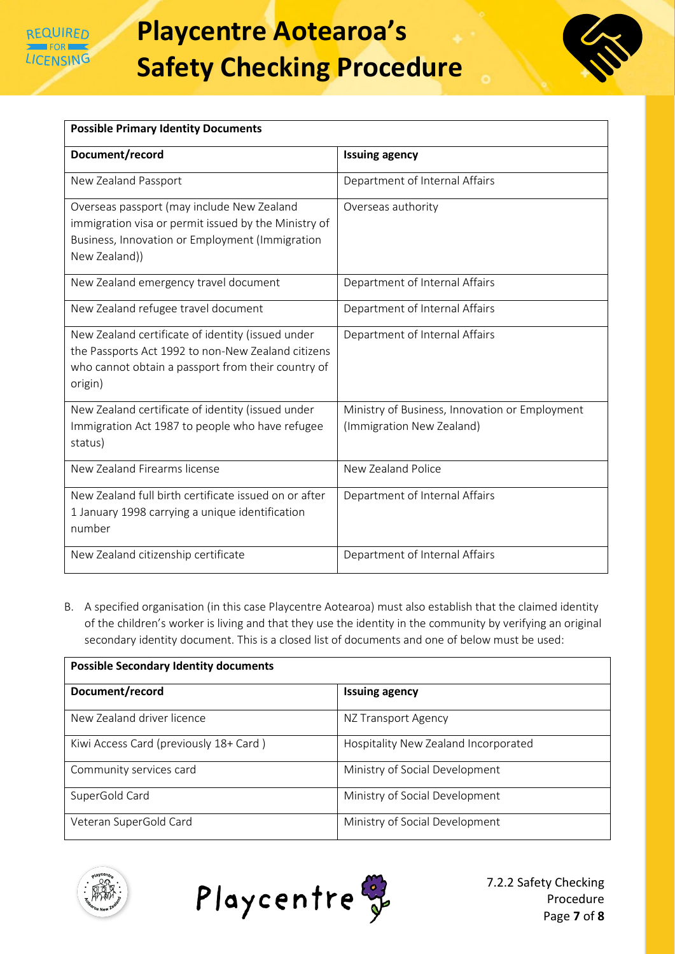



| <b>Possible Primary Identity Documents</b>                                                                                                                               |                                                                             |  |  |
|--------------------------------------------------------------------------------------------------------------------------------------------------------------------------|-----------------------------------------------------------------------------|--|--|
| Document/record                                                                                                                                                          | <b>Issuing agency</b>                                                       |  |  |
| New Zealand Passport                                                                                                                                                     | Department of Internal Affairs                                              |  |  |
| Overseas passport (may include New Zealand<br>immigration visa or permit issued by the Ministry of<br>Business, Innovation or Employment (Immigration<br>New Zealand))   | Overseas authority                                                          |  |  |
| New Zealand emergency travel document                                                                                                                                    | Department of Internal Affairs                                              |  |  |
| New Zealand refugee travel document                                                                                                                                      | Department of Internal Affairs                                              |  |  |
| New Zealand certificate of identity (issued under<br>the Passports Act 1992 to non-New Zealand citizens<br>who cannot obtain a passport from their country of<br>origin) | Department of Internal Affairs                                              |  |  |
| New Zealand certificate of identity (issued under<br>Immigration Act 1987 to people who have refugee<br>status)                                                          | Ministry of Business, Innovation or Employment<br>(Immigration New Zealand) |  |  |
| New Zealand Firearms license                                                                                                                                             | New Zealand Police                                                          |  |  |
| New Zealand full birth certificate issued on or after<br>1 January 1998 carrying a unique identification<br>number                                                       | Department of Internal Affairs                                              |  |  |
| New Zealand citizenship certificate                                                                                                                                      | Department of Internal Affairs                                              |  |  |

B. A specified organisation (in this case Playcentre Aotearoa) must also establish that the claimed identity of the children's worker is living and that they use the identity in the community by verifying an original secondary identity document. This is a closed list of documents and one of below must be used:

| <b>Possible Secondary Identity documents</b> |                                      |  |
|----------------------------------------------|--------------------------------------|--|
| Document/record                              | <b>Issuing agency</b>                |  |
| New Zealand driver licence                   | NZ Transport Agency                  |  |
| Kiwi Access Card (previously 18+ Card)       | Hospitality New Zealand Incorporated |  |
| Community services card                      | Ministry of Social Development       |  |
| SuperGold Card                               | Ministry of Social Development       |  |
| Veteran SuperGold Card                       | Ministry of Social Development       |  |





7.2.2 Safety Checking Procedure Page **7** of **8**